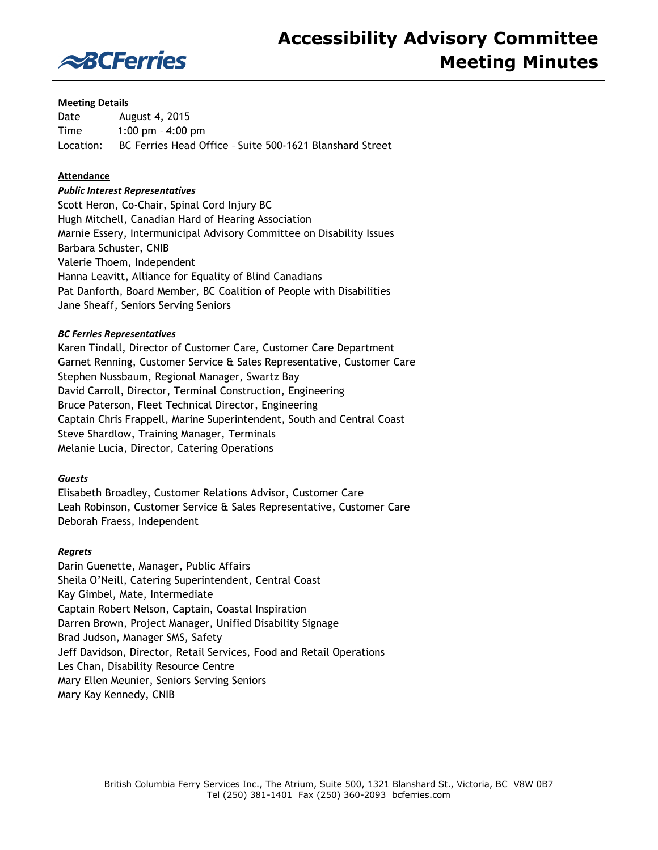

#### **Meeting Details**

Date August 4, 2015 Time 1:00 pm – 4:00 pm Location: BC Ferries Head Office – Suite 500-1621 Blanshard Street

## **Attendance**

#### *Public Interest Representatives*

Scott Heron, Co-Chair, Spinal Cord Injury BC Hugh Mitchell, Canadian Hard of Hearing Association Marnie Essery, Intermunicipal Advisory Committee on Disability Issues Barbara Schuster, CNIB Valerie Thoem, Independent Hanna Leavitt, Alliance for Equality of Blind Canadians Pat Danforth, Board Member, BC Coalition of People with Disabilities Jane Sheaff, Seniors Serving Seniors

#### *BC Ferries Representatives*

Karen Tindall, Director of Customer Care, Customer Care Department Garnet Renning, Customer Service & Sales Representative, Customer Care Stephen Nussbaum, Regional Manager, Swartz Bay David Carroll, Director, Terminal Construction, Engineering Bruce Paterson, Fleet Technical Director, Engineering Captain Chris Frappell, Marine Superintendent, South and Central Coast Steve Shardlow, Training Manager, Terminals Melanie Lucia, Director, Catering Operations

#### *Guests*

Elisabeth Broadley, Customer Relations Advisor, Customer Care Leah Robinson, Customer Service & Sales Representative, Customer Care Deborah Fraess, Independent

#### *Regrets*

Darin Guenette, Manager, Public Affairs Sheila O'Neill, Catering Superintendent, Central Coast Kay Gimbel, Mate, Intermediate Captain Robert Nelson, Captain, Coastal Inspiration Darren Brown, Project Manager, Unified Disability Signage Brad Judson, Manager SMS, Safety Jeff Davidson, Director, Retail Services, Food and Retail Operations Les Chan, Disability Resource Centre Mary Ellen Meunier, Seniors Serving Seniors Mary Kay Kennedy, CNIB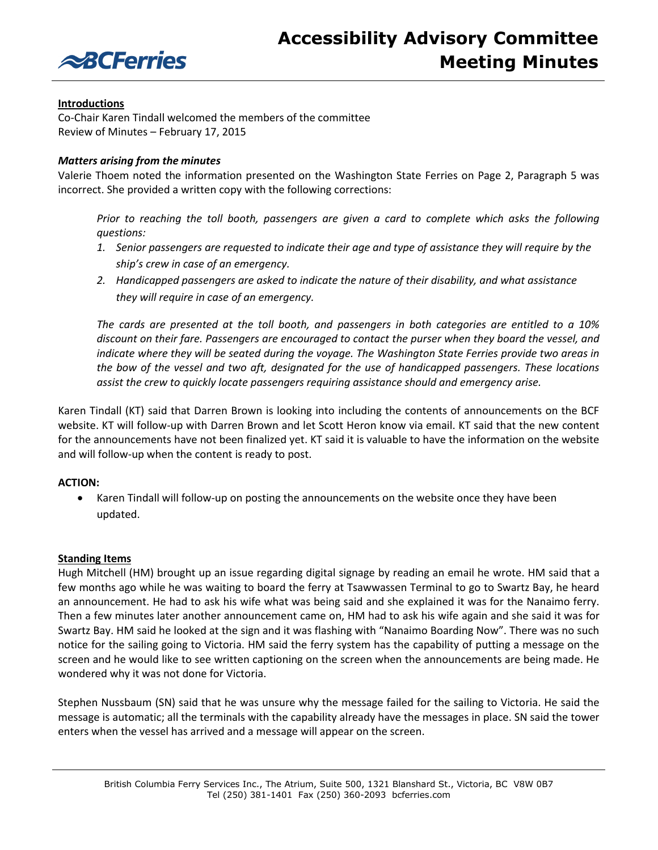

# **Introductions**

Co-Chair Karen Tindall welcomed the members of the committee Review of Minutes – February 17, 2015

## *Matters arising from the minutes*

Valerie Thoem noted the information presented on the Washington State Ferries on Page 2, Paragraph 5 was incorrect. She provided a written copy with the following corrections:

*Prior to reaching the toll booth, passengers are given a card to complete which asks the following questions:* 

- 1. Senior passengers are requested to indicate their age and type of assistance they will require by the *ship's crew in case of an emergency.*
- *2. Handicapped passengers are asked to indicate the nature of their disability, and what assistance they will require in case of an emergency.*

*The cards are presented at the toll booth, and passengers in both categories are entitled to a 10% discount on their fare. Passengers are encouraged to contact the purser when they board the vessel, and indicate where they will be seated during the voyage. The Washington State Ferries provide two areas in the bow of the vessel and two aft, designated for the use of handicapped passengers. These locations assist the crew to quickly locate passengers requiring assistance should and emergency arise.* 

Karen Tindall (KT) said that Darren Brown is looking into including the contents of announcements on the BCF website. KT will follow-up with Darren Brown and let Scott Heron know via email. KT said that the new content for the announcements have not been finalized yet. KT said it is valuable to have the information on the website and will follow-up when the content is ready to post.

# **ACTION:**

 Karen Tindall will follow-up on posting the announcements on the website once they have been updated.

## **Standing Items**

Hugh Mitchell (HM) brought up an issue regarding digital signage by reading an email he wrote. HM said that a few months ago while he was waiting to board the ferry at Tsawwassen Terminal to go to Swartz Bay, he heard an announcement. He had to ask his wife what was being said and she explained it was for the Nanaimo ferry. Then a few minutes later another announcement came on, HM had to ask his wife again and she said it was for Swartz Bay. HM said he looked at the sign and it was flashing with "Nanaimo Boarding Now". There was no such notice for the sailing going to Victoria. HM said the ferry system has the capability of putting a message on the screen and he would like to see written captioning on the screen when the announcements are being made. He wondered why it was not done for Victoria.

Stephen Nussbaum (SN) said that he was unsure why the message failed for the sailing to Victoria. He said the message is automatic; all the terminals with the capability already have the messages in place. SN said the tower enters when the vessel has arrived and a message will appear on the screen.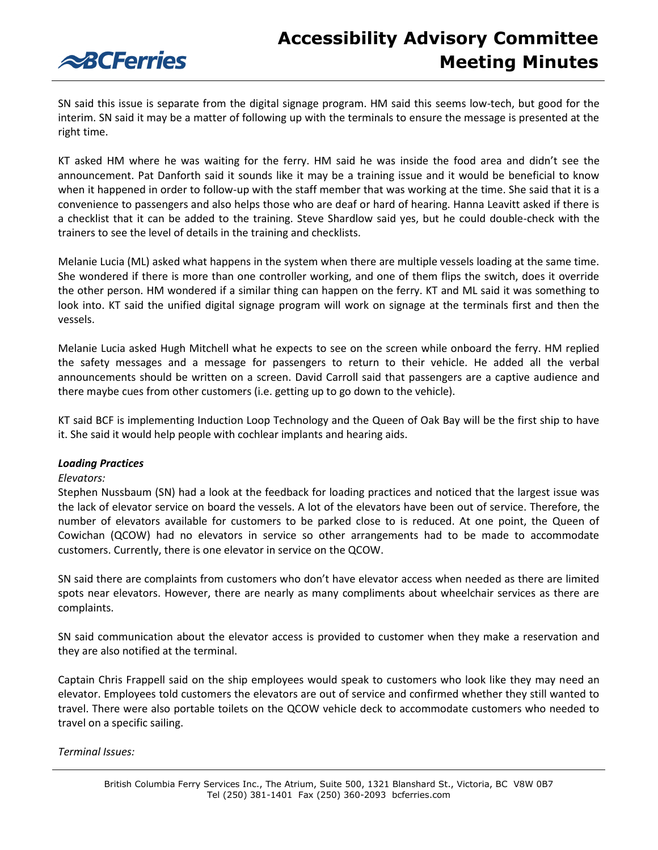

**ABCFerries** 

SN said this issue is separate from the digital signage program. HM said this seems low-tech, but good for the interim. SN said it may be a matter of following up with the terminals to ensure the message is presented at the right time.

KT asked HM where he was waiting for the ferry. HM said he was inside the food area and didn't see the announcement. Pat Danforth said it sounds like it may be a training issue and it would be beneficial to know when it happened in order to follow-up with the staff member that was working at the time. She said that it is a convenience to passengers and also helps those who are deaf or hard of hearing. Hanna Leavitt asked if there is a checklist that it can be added to the training. Steve Shardlow said yes, but he could double-check with the trainers to see the level of details in the training and checklists.

Melanie Lucia (ML) asked what happens in the system when there are multiple vessels loading at the same time. She wondered if there is more than one controller working, and one of them flips the switch, does it override the other person. HM wondered if a similar thing can happen on the ferry. KT and ML said it was something to look into. KT said the unified digital signage program will work on signage at the terminals first and then the vessels.

Melanie Lucia asked Hugh Mitchell what he expects to see on the screen while onboard the ferry. HM replied the safety messages and a message for passengers to return to their vehicle. He added all the verbal announcements should be written on a screen. David Carroll said that passengers are a captive audience and there maybe cues from other customers (i.e. getting up to go down to the vehicle).

KT said BCF is implementing Induction Loop Technology and the Queen of Oak Bay will be the first ship to have it. She said it would help people with cochlear implants and hearing aids.

## *Loading Practices*

#### *Elevators:*

Stephen Nussbaum (SN) had a look at the feedback for loading practices and noticed that the largest issue was the lack of elevator service on board the vessels. A lot of the elevators have been out of service. Therefore, the number of elevators available for customers to be parked close to is reduced. At one point, the Queen of Cowichan (QCOW) had no elevators in service so other arrangements had to be made to accommodate customers. Currently, there is one elevator in service on the QCOW.

SN said there are complaints from customers who don't have elevator access when needed as there are limited spots near elevators. However, there are nearly as many compliments about wheelchair services as there are complaints.

SN said communication about the elevator access is provided to customer when they make a reservation and they are also notified at the terminal.

Captain Chris Frappell said on the ship employees would speak to customers who look like they may need an elevator. Employees told customers the elevators are out of service and confirmed whether they still wanted to travel. There were also portable toilets on the QCOW vehicle deck to accommodate customers who needed to travel on a specific sailing.

## *Terminal Issues:*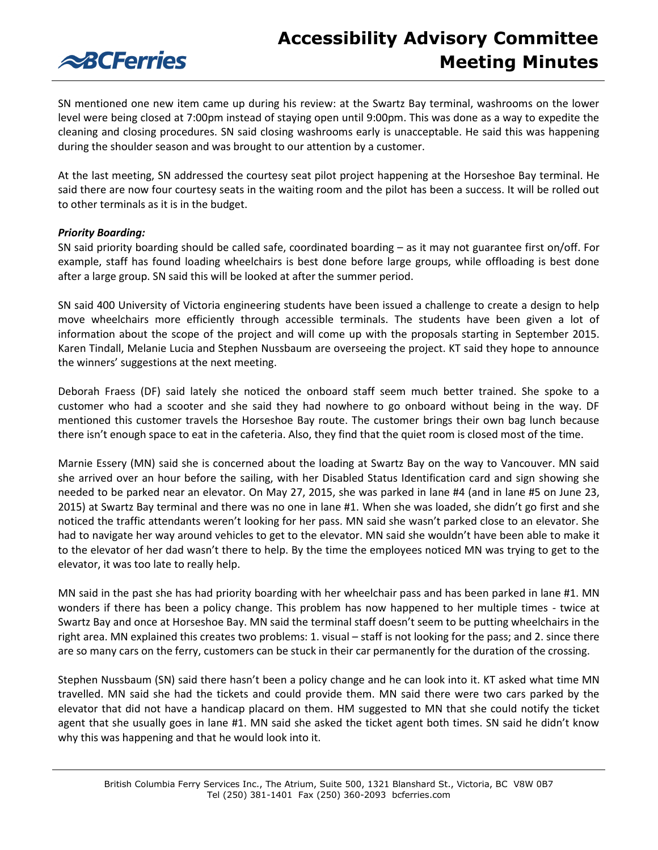

SN mentioned one new item came up during his review: at the Swartz Bay terminal, washrooms on the lower level were being closed at 7:00pm instead of staying open until 9:00pm. This was done as a way to expedite the cleaning and closing procedures. SN said closing washrooms early is unacceptable. He said this was happening during the shoulder season and was brought to our attention by a customer.

At the last meeting, SN addressed the courtesy seat pilot project happening at the Horseshoe Bay terminal. He said there are now four courtesy seats in the waiting room and the pilot has been a success. It will be rolled out to other terminals as it is in the budget.

## *Priority Boarding:*

SN said priority boarding should be called safe, coordinated boarding – as it may not guarantee first on/off. For example, staff has found loading wheelchairs is best done before large groups, while offloading is best done after a large group. SN said this will be looked at after the summer period.

SN said 400 University of Victoria engineering students have been issued a challenge to create a design to help move wheelchairs more efficiently through accessible terminals. The students have been given a lot of information about the scope of the project and will come up with the proposals starting in September 2015. Karen Tindall, Melanie Lucia and Stephen Nussbaum are overseeing the project. KT said they hope to announce the winners' suggestions at the next meeting.

Deborah Fraess (DF) said lately she noticed the onboard staff seem much better trained. She spoke to a customer who had a scooter and she said they had nowhere to go onboard without being in the way. DF mentioned this customer travels the Horseshoe Bay route. The customer brings their own bag lunch because there isn't enough space to eat in the cafeteria. Also, they find that the quiet room is closed most of the time.

Marnie Essery (MN) said she is concerned about the loading at Swartz Bay on the way to Vancouver. MN said she arrived over an hour before the sailing, with her Disabled Status Identification card and sign showing she needed to be parked near an elevator. On May 27, 2015, she was parked in lane #4 (and in lane #5 on June 23, 2015) at Swartz Bay terminal and there was no one in lane #1. When she was loaded, she didn't go first and she noticed the traffic attendants weren't looking for her pass. MN said she wasn't parked close to an elevator. She had to navigate her way around vehicles to get to the elevator. MN said she wouldn't have been able to make it to the elevator of her dad wasn't there to help. By the time the employees noticed MN was trying to get to the elevator, it was too late to really help.

MN said in the past she has had priority boarding with her wheelchair pass and has been parked in lane #1. MN wonders if there has been a policy change. This problem has now happened to her multiple times - twice at Swartz Bay and once at Horseshoe Bay. MN said the terminal staff doesn't seem to be putting wheelchairs in the right area. MN explained this creates two problems: 1. visual – staff is not looking for the pass; and 2. since there are so many cars on the ferry, customers can be stuck in their car permanently for the duration of the crossing.

Stephen Nussbaum (SN) said there hasn't been a policy change and he can look into it. KT asked what time MN travelled. MN said she had the tickets and could provide them. MN said there were two cars parked by the elevator that did not have a handicap placard on them. HM suggested to MN that she could notify the ticket agent that she usually goes in lane #1. MN said she asked the ticket agent both times. SN said he didn't know why this was happening and that he would look into it.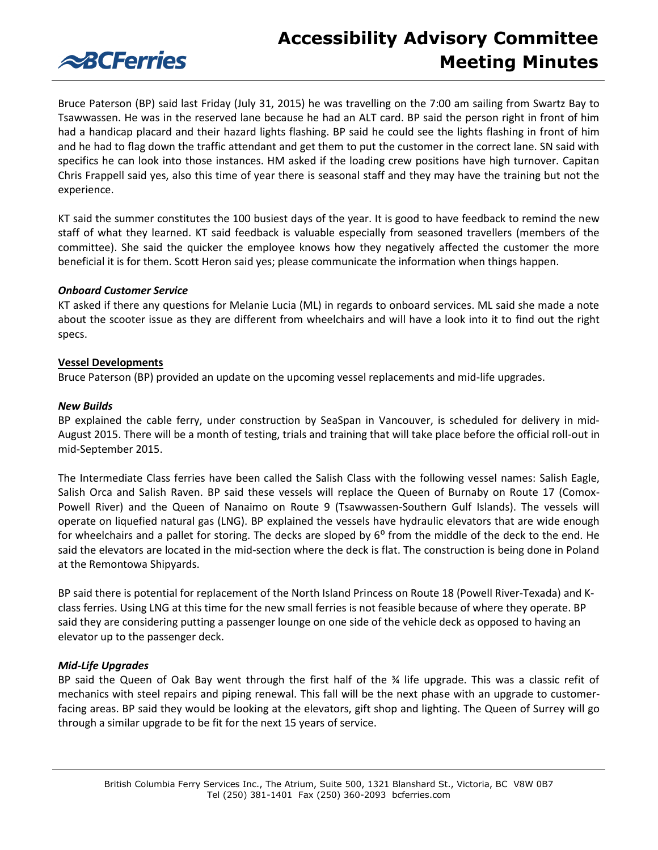

Bruce Paterson (BP) said last Friday (July 31, 2015) he was travelling on the 7:00 am sailing from Swartz Bay to Tsawwassen. He was in the reserved lane because he had an ALT card. BP said the person right in front of him had a handicap placard and their hazard lights flashing. BP said he could see the lights flashing in front of him and he had to flag down the traffic attendant and get them to put the customer in the correct lane. SN said with specifics he can look into those instances. HM asked if the loading crew positions have high turnover. Capitan Chris Frappell said yes, also this time of year there is seasonal staff and they may have the training but not the experience.

KT said the summer constitutes the 100 busiest days of the year. It is good to have feedback to remind the new staff of what they learned. KT said feedback is valuable especially from seasoned travellers (members of the committee). She said the quicker the employee knows how they negatively affected the customer the more beneficial it is for them. Scott Heron said yes; please communicate the information when things happen.

## *Onboard Customer Service*

KT asked if there any questions for Melanie Lucia (ML) in regards to onboard services. ML said she made a note about the scooter issue as they are different from wheelchairs and will have a look into it to find out the right specs.

#### **Vessel Developments**

Bruce Paterson (BP) provided an update on the upcoming vessel replacements and mid-life upgrades.

#### *New Builds*

BP explained the cable ferry, under construction by SeaSpan in Vancouver, is scheduled for delivery in mid-August 2015. There will be a month of testing, trials and training that will take place before the official roll-out in mid-September 2015.

The Intermediate Class ferries have been called the Salish Class with the following vessel names: Salish Eagle, Salish Orca and Salish Raven. BP said these vessels will replace the Queen of Burnaby on Route 17 (Comox-Powell River) and the Queen of Nanaimo on Route 9 (Tsawwassen-Southern Gulf Islands). The vessels will operate on liquefied natural gas (LNG). BP explained the vessels have hydraulic elevators that are wide enough for wheelchairs and a pallet for storing. The decks are sloped by  $6^{\circ}$  from the middle of the deck to the end. He said the elevators are located in the mid-section where the deck is flat. The construction is being done in Poland at the Remontowa Shipyards.

BP said there is potential for replacement of the North Island Princess on Route 18 (Powell River-Texada) and Kclass ferries. Using LNG at this time for the new small ferries is not feasible because of where they operate. BP said they are considering putting a passenger lounge on one side of the vehicle deck as opposed to having an elevator up to the passenger deck.

## *Mid-Life Upgrades*

BP said the Queen of Oak Bay went through the first half of the ¾ life upgrade. This was a classic refit of mechanics with steel repairs and piping renewal. This fall will be the next phase with an upgrade to customerfacing areas. BP said they would be looking at the elevators, gift shop and lighting. The Queen of Surrey will go through a similar upgrade to be fit for the next 15 years of service.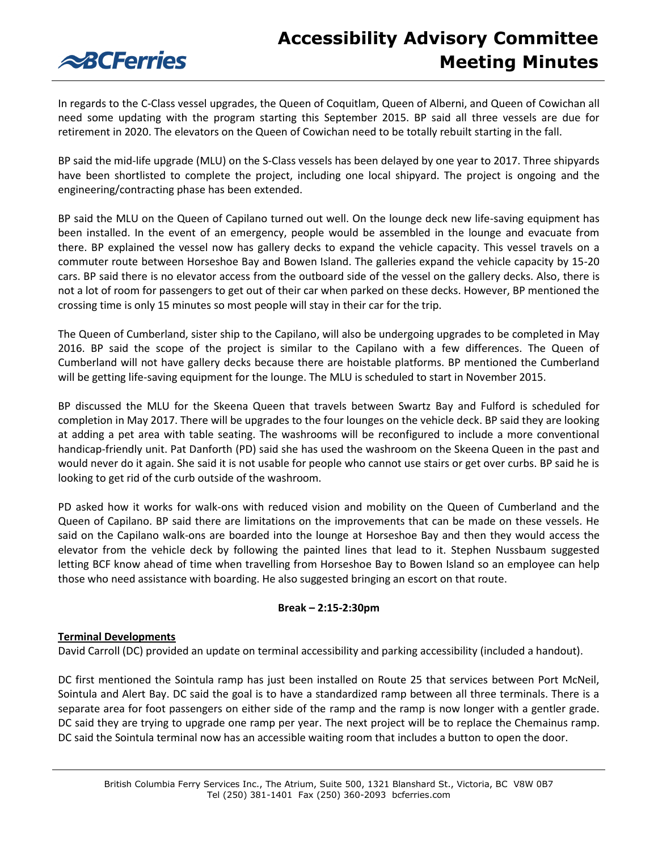**ABCFerries** 

In regards to the C-Class vessel upgrades, the Queen of Coquitlam, Queen of Alberni, and Queen of Cowichan all need some updating with the program starting this September 2015. BP said all three vessels are due for retirement in 2020. The elevators on the Queen of Cowichan need to be totally rebuilt starting in the fall.

BP said the mid-life upgrade (MLU) on the S-Class vessels has been delayed by one year to 2017. Three shipyards have been shortlisted to complete the project, including one local shipyard. The project is ongoing and the engineering/contracting phase has been extended.

BP said the MLU on the Queen of Capilano turned out well. On the lounge deck new life-saving equipment has been installed. In the event of an emergency, people would be assembled in the lounge and evacuate from there. BP explained the vessel now has gallery decks to expand the vehicle capacity. This vessel travels on a commuter route between Horseshoe Bay and Bowen Island. The galleries expand the vehicle capacity by 15-20 cars. BP said there is no elevator access from the outboard side of the vessel on the gallery decks. Also, there is not a lot of room for passengers to get out of their car when parked on these decks. However, BP mentioned the crossing time is only 15 minutes so most people will stay in their car for the trip.

The Queen of Cumberland, sister ship to the Capilano, will also be undergoing upgrades to be completed in May 2016. BP said the scope of the project is similar to the Capilano with a few differences. The Queen of Cumberland will not have gallery decks because there are hoistable platforms. BP mentioned the Cumberland will be getting life-saving equipment for the lounge. The MLU is scheduled to start in November 2015.

BP discussed the MLU for the Skeena Queen that travels between Swartz Bay and Fulford is scheduled for completion in May 2017. There will be upgrades to the four lounges on the vehicle deck. BP said they are looking at adding a pet area with table seating. The washrooms will be reconfigured to include a more conventional handicap-friendly unit. Pat Danforth (PD) said she has used the washroom on the Skeena Queen in the past and would never do it again. She said it is not usable for people who cannot use stairs or get over curbs. BP said he is looking to get rid of the curb outside of the washroom.

PD asked how it works for walk-ons with reduced vision and mobility on the Queen of Cumberland and the Queen of Capilano. BP said there are limitations on the improvements that can be made on these vessels. He said on the Capilano walk-ons are boarded into the lounge at Horseshoe Bay and then they would access the elevator from the vehicle deck by following the painted lines that lead to it. Stephen Nussbaum suggested letting BCF know ahead of time when travelling from Horseshoe Bay to Bowen Island so an employee can help those who need assistance with boarding. He also suggested bringing an escort on that route.

## **Break – 2:15-2:30pm**

## **Terminal Developments**

David Carroll (DC) provided an update on terminal accessibility and parking accessibility (included a handout).

DC first mentioned the Sointula ramp has just been installed on Route 25 that services between Port McNeil, Sointula and Alert Bay. DC said the goal is to have a standardized ramp between all three terminals. There is a separate area for foot passengers on either side of the ramp and the ramp is now longer with a gentler grade. DC said they are trying to upgrade one ramp per year. The next project will be to replace the Chemainus ramp. DC said the Sointula terminal now has an accessible waiting room that includes a button to open the door.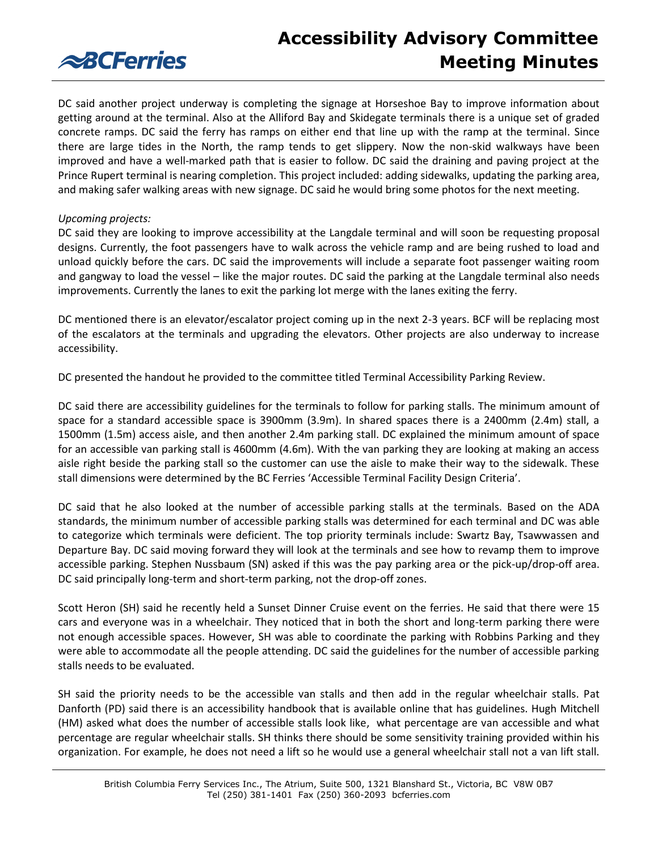

DC said another project underway is completing the signage at Horseshoe Bay to improve information about getting around at the terminal. Also at the Alliford Bay and Skidegate terminals there is a unique set of graded concrete ramps. DC said the ferry has ramps on either end that line up with the ramp at the terminal. Since there are large tides in the North, the ramp tends to get slippery. Now the non-skid walkways have been improved and have a well-marked path that is easier to follow. DC said the draining and paving project at the Prince Rupert terminal is nearing completion. This project included: adding sidewalks, updating the parking area, and making safer walking areas with new signage. DC said he would bring some photos for the next meeting.

# *Upcoming projects:*

DC said they are looking to improve accessibility at the Langdale terminal and will soon be requesting proposal designs. Currently, the foot passengers have to walk across the vehicle ramp and are being rushed to load and unload quickly before the cars. DC said the improvements will include a separate foot passenger waiting room and gangway to load the vessel – like the major routes. DC said the parking at the Langdale terminal also needs improvements. Currently the lanes to exit the parking lot merge with the lanes exiting the ferry.

DC mentioned there is an elevator/escalator project coming up in the next 2-3 years. BCF will be replacing most of the escalators at the terminals and upgrading the elevators. Other projects are also underway to increase accessibility.

DC presented the handout he provided to the committee titled Terminal Accessibility Parking Review.

DC said there are accessibility guidelines for the terminals to follow for parking stalls. The minimum amount of space for a standard accessible space is 3900mm (3.9m). In shared spaces there is a 2400mm (2.4m) stall, a 1500mm (1.5m) access aisle, and then another 2.4m parking stall. DC explained the minimum amount of space for an accessible van parking stall is 4600mm (4.6m). With the van parking they are looking at making an access aisle right beside the parking stall so the customer can use the aisle to make their way to the sidewalk. These stall dimensions were determined by the BC Ferries 'Accessible Terminal Facility Design Criteria'.

DC said that he also looked at the number of accessible parking stalls at the terminals. Based on the ADA standards, the minimum number of accessible parking stalls was determined for each terminal and DC was able to categorize which terminals were deficient. The top priority terminals include: Swartz Bay, Tsawwassen and Departure Bay. DC said moving forward they will look at the terminals and see how to revamp them to improve accessible parking. Stephen Nussbaum (SN) asked if this was the pay parking area or the pick-up/drop-off area. DC said principally long-term and short-term parking, not the drop-off zones.

Scott Heron (SH) said he recently held a Sunset Dinner Cruise event on the ferries. He said that there were 15 cars and everyone was in a wheelchair. They noticed that in both the short and long-term parking there were not enough accessible spaces. However, SH was able to coordinate the parking with Robbins Parking and they were able to accommodate all the people attending. DC said the guidelines for the number of accessible parking stalls needs to be evaluated.

SH said the priority needs to be the accessible van stalls and then add in the regular wheelchair stalls. Pat Danforth (PD) said there is an accessibility handbook that is available online that has guidelines. Hugh Mitchell (HM) asked what does the number of accessible stalls look like, what percentage are van accessible and what percentage are regular wheelchair stalls. SH thinks there should be some sensitivity training provided within his organization. For example, he does not need a lift so he would use a general wheelchair stall not a van lift stall.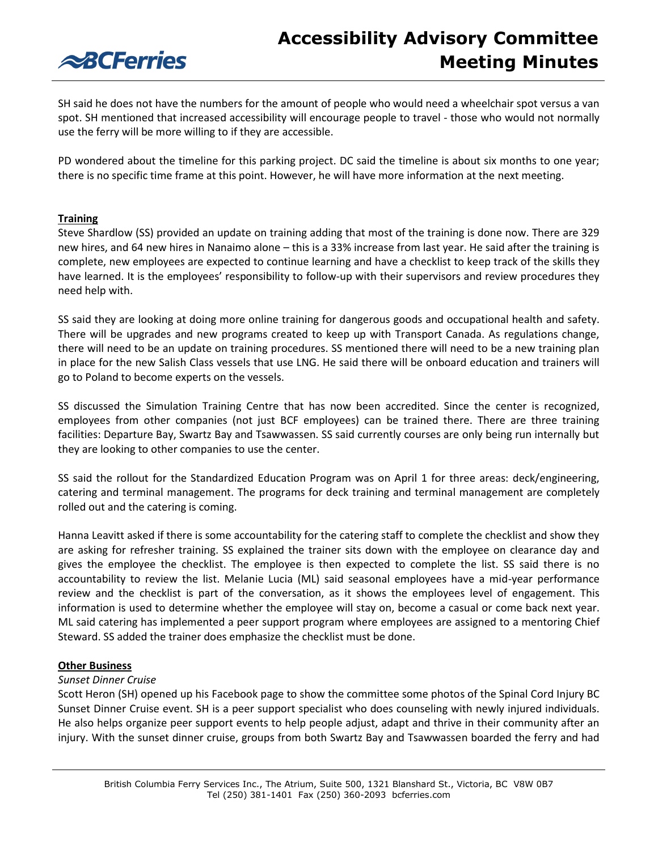# **ABCFerries**

SH said he does not have the numbers for the amount of people who would need a wheelchair spot versus a van spot. SH mentioned that increased accessibility will encourage people to travel - those who would not normally use the ferry will be more willing to if they are accessible.

PD wondered about the timeline for this parking project. DC said the timeline is about six months to one year; there is no specific time frame at this point. However, he will have more information at the next meeting.

# **Training**

Steve Shardlow (SS) provided an update on training adding that most of the training is done now. There are 329 new hires, and 64 new hires in Nanaimo alone – this is a 33% increase from last year. He said after the training is complete, new employees are expected to continue learning and have a checklist to keep track of the skills they have learned. It is the employees' responsibility to follow-up with their supervisors and review procedures they need help with.

SS said they are looking at doing more online training for dangerous goods and occupational health and safety. There will be upgrades and new programs created to keep up with Transport Canada. As regulations change, there will need to be an update on training procedures. SS mentioned there will need to be a new training plan in place for the new Salish Class vessels that use LNG. He said there will be onboard education and trainers will go to Poland to become experts on the vessels.

SS discussed the Simulation Training Centre that has now been accredited. Since the center is recognized, employees from other companies (not just BCF employees) can be trained there. There are three training facilities: Departure Bay, Swartz Bay and Tsawwassen. SS said currently courses are only being run internally but they are looking to other companies to use the center.

SS said the rollout for the Standardized Education Program was on April 1 for three areas: deck/engineering, catering and terminal management. The programs for deck training and terminal management are completely rolled out and the catering is coming.

Hanna Leavitt asked if there is some accountability for the catering staff to complete the checklist and show they are asking for refresher training. SS explained the trainer sits down with the employee on clearance day and gives the employee the checklist. The employee is then expected to complete the list. SS said there is no accountability to review the list. Melanie Lucia (ML) said seasonal employees have a mid-year performance review and the checklist is part of the conversation, as it shows the employees level of engagement. This information is used to determine whether the employee will stay on, become a casual or come back next year. ML said catering has implemented a peer support program where employees are assigned to a mentoring Chief Steward. SS added the trainer does emphasize the checklist must be done.

# **Other Business**

## *Sunset Dinner Cruise*

Scott Heron (SH) opened up his Facebook page to show the committee some photos of the Spinal Cord Injury BC Sunset Dinner Cruise event. SH is a peer support specialist who does counseling with newly injured individuals. He also helps organize peer support events to help people adjust, adapt and thrive in their community after an injury. With the sunset dinner cruise, groups from both Swartz Bay and Tsawwassen boarded the ferry and had